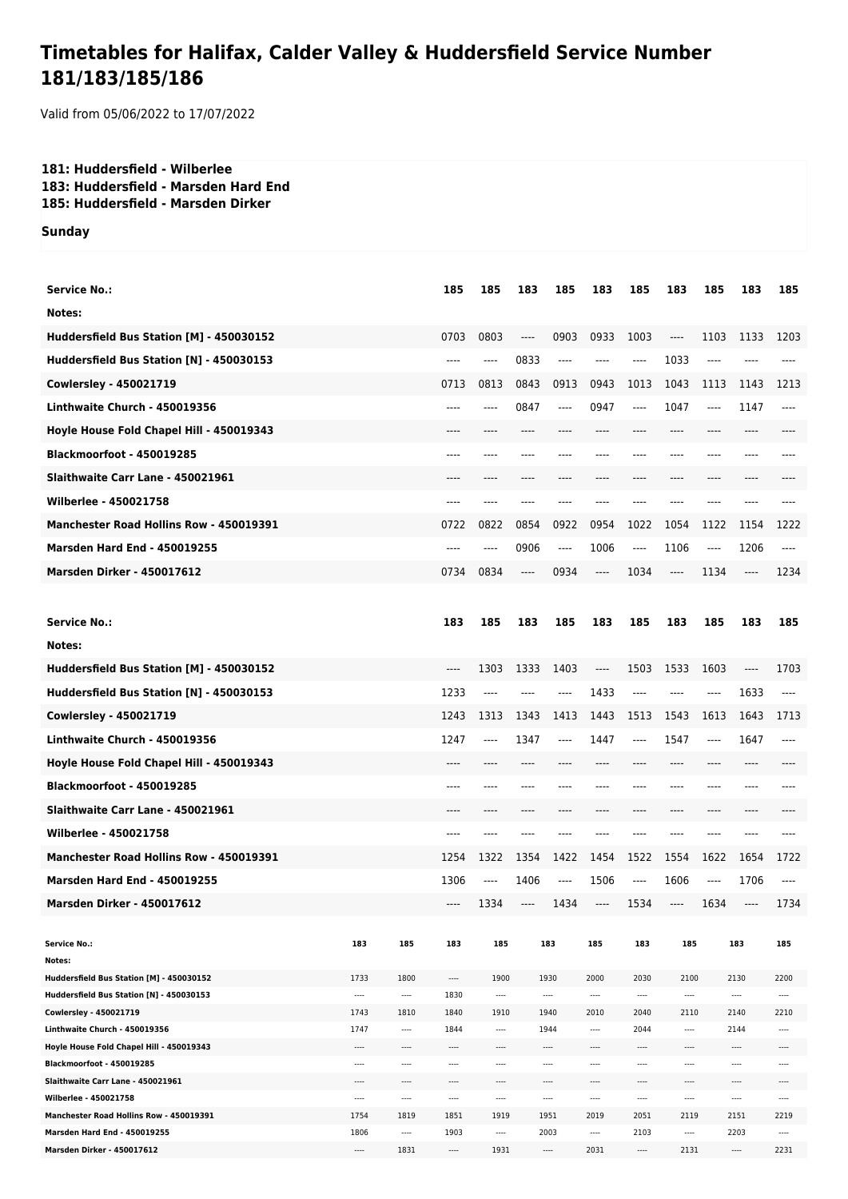## **Timetables for Halifax, Calder Valley & Huddersfield Service Number 181/183/185/186**

Valid from 05/06/2022 to 17/07/2022

## **181: Huddersfield - Wilberlee 183: Huddersfield - Marsden Hard End 185: Huddersfield - Marsden Dirker**

**Sunday**

| <b>Service No.:</b>                                        |              |                  | 185          | 185              | 183      | 185          | 183      | 185              | 183                           | 185   | 183                           | 185          |
|------------------------------------------------------------|--------------|------------------|--------------|------------------|----------|--------------|----------|------------------|-------------------------------|-------|-------------------------------|--------------|
| Notes:                                                     |              |                  |              |                  |          |              |          |                  |                               |       |                               |              |
| Huddersfield Bus Station [M] - 450030152                   |              |                  | 0703         | 0803             | $-----$  | 0903         | 0933     | 1003             | ----                          | 1103  | 1133                          | 1203         |
| Huddersfield Bus Station [N] - 450030153                   |              |                  | $---$        | ----             | 0833     | ----         | ----     | ----             | 1033                          | ----  |                               |              |
| Cowlersley - 450021719                                     |              |                  | 0713         | 0813             | 0843     | 0913         | 0943     | 1013             | 1043                          | 1113  | 1143                          | 1213         |
| Linthwaite Church - 450019356                              |              |                  | ----         | ----             | 0847     | ----         | 0947     | $---$            | 1047                          | ----  | 1147                          | $---$        |
| Hoyle House Fold Chapel Hill - 450019343                   |              |                  |              |                  |          |              |          |                  | ----                          |       |                               |              |
| <b>Blackmoorfoot - 450019285</b>                           |              |                  | ----         |                  |          |              |          |                  |                               |       |                               |              |
| Slaithwaite Carr Lane - 450021961                          |              |                  |              |                  |          |              |          |                  | ----                          |       |                               |              |
|                                                            |              |                  |              |                  |          |              |          |                  |                               |       |                               |              |
| <b>Wilberlee - 450021758</b>                               |              |                  | ----         | ----             | ----     | ----         |          |                  | ----                          | ----  | ----                          |              |
| Manchester Road Hollins Row - 450019391                    |              |                  | 0722         | 0822             | 0854     | 0922         | 0954     | 1022             | 1054                          | 1122  | 1154                          | 1222         |
| <b>Marsden Hard End - 450019255</b>                        |              |                  | ----         | ----             | 0906     | ----         | 1006     | $---$            | 1106                          | ----  | 1206                          | ----         |
| <b>Marsden Dirker - 450017612</b>                          |              |                  | 0734         | 0834             | ----     | 0934         | $\cdots$ | 1034             | $---$                         | 1134  | $\cdots$                      | 1234         |
|                                                            |              |                  |              |                  |          |              |          |                  |                               |       |                               |              |
| <b>Service No.:</b>                                        |              |                  | 183          | 185              | 183      | 185          | 183      | 185              | 183                           | 185   | 183                           | 185          |
| Notes:                                                     |              |                  |              |                  |          |              |          |                  |                               |       |                               |              |
| Huddersfield Bus Station [M] - 450030152                   |              |                  | $---$        | 1303             | 1333     | 1403         | ----     | 1503             | 1533                          | 1603  | $---$                         | 1703         |
| Huddersfield Bus Station [N] - 450030153                   |              |                  | 1233         | ----             | ----     | ----         | 1433     | $---$            | ----                          | ----  | 1633                          | $---$        |
| <b>Cowlersley - 450021719</b>                              |              |                  | 1243         | 1313             | 1343     | 1413         | 1443     | 1513             | 1543                          | 1613  | 1643                          | 1713         |
| Linthwaite Church - 450019356                              |              |                  | 1247         | ----             | 1347     | ----         | 1447     | $---$            | 1547                          | ----  | 1647                          | $---$        |
| Hoyle House Fold Chapel Hill - 450019343                   |              |                  | $---$        | ----             | ----     |              |          | ----             | ----                          | ----  | ----                          |              |
| Blackmoorfoot - 450019285                                  |              |                  | $---$        | ----             | ----     | ----         | ----     | ----             | $---$                         | ----  | ----                          | ----         |
| Slaithwaite Carr Lane - 450021961                          |              |                  | $---$        | ----             | ----     | ----         | ----     | $---$            | $---$                         | ----  | $---$                         |              |
| <b>Wilberlee - 450021758</b>                               |              |                  | $---$        | ----             | ----     | ----         |          | ----             | ----                          | ----  | ----                          | ----         |
| Manchester Road Hollins Row - 450019391                    |              |                  | 1254         | 1322             | 1354     | 1422         | 1454     | 1522             | 1554                          | 1622  | 1654                          | 1722         |
|                                                            |              |                  |              |                  |          |              |          |                  |                               |       |                               |              |
| <b>Marsden Hard End - 450019255</b>                        |              |                  | 1306         | ----             | 1406     | $\cdots$     | 1506     | $---$            | 1606                          | $---$ | 1706                          | $---$        |
| <b>Marsden Dirker - 450017612</b>                          |              |                  | ----         | 1334             | $\cdots$ | 1434         | $\cdots$ | 1534             | $\hspace{1.5cm} \textbf{---}$ | 1634  | $\hspace{1.5cm} \textbf{---}$ | 1734         |
| <b>Service No.:</b>                                        | 183          | 185              | 183          | 185              |          | 183          | 185      | 183              | 185                           |       | 183                           | 185          |
| Notes:                                                     |              |                  |              |                  |          |              |          |                  |                               |       |                               |              |
| Huddersfield Bus Station [M] - 450030152                   | 1733         | 1800             | ----         | 1900             |          | 1930         | 2000     | 2030             | 2100                          |       | 2130                          | 2200         |
| Huddersfield Bus Station [N] - 450030153                   |              | $\cdots$         | 1830         | $\cdots$         |          | $\cdots$     |          | $\cdots$         | ----                          |       | ----                          |              |
| Cowlersley - 450021719                                     | 1743         | 1810             | 1840         | 1910             |          | 1940         | 2010     | 2040             | 2110                          |       | 2140                          | 2210         |
| Linthwaite Church - 450019356                              | 1747         | $\cdots$         | 1844         |                  |          | 1944         |          | 2044             |                               |       | 2144                          |              |
| Hoyle House Fold Chapel Hill - 450019343                   | ----         | ----             | ----         |                  |          | $\cdots$     |          | ----             | ----                          |       | ----                          | ----         |
| Blackmoorfoot - 450019285                                  | ----         | ----             | $\cdots$     | $\cdots$         |          | $\cdots$     | ----     | $\cdots$         | ----                          |       | $^{***}$                      | ----         |
| Slaithwaite Carr Lane - 450021961<br>Wilberlee - 450021758 | ----<br>---- | ----<br>$\cdots$ | $^{***}$<br> | ----<br>$\cdots$ |          | <br>$\cdots$ | ----<br> | ----<br>$\cdots$ | ----<br>$\cdots$              |       | ----<br>                      | ----<br>---- |
| Manchester Road Hollins Row - 450019391                    | 1754         | 1819             | 1851         | 1919             |          | 1951         | 2019     | 2051             | 2119                          |       | 2151                          | 2219         |
| Marsden Hard End - 450019255                               | 1806         | $\cdots$         | 1903         | $\cdots$         |          | 2003         | ----     | 2103             | ----                          |       | 2203                          | $\cdots$     |
| Marsden Dirker - 450017612                                 |              | 1831             | ----         | 1931             |          | $\cdots$     | 2031     | $\cdots$         | 2131                          |       | ----                          | 2231         |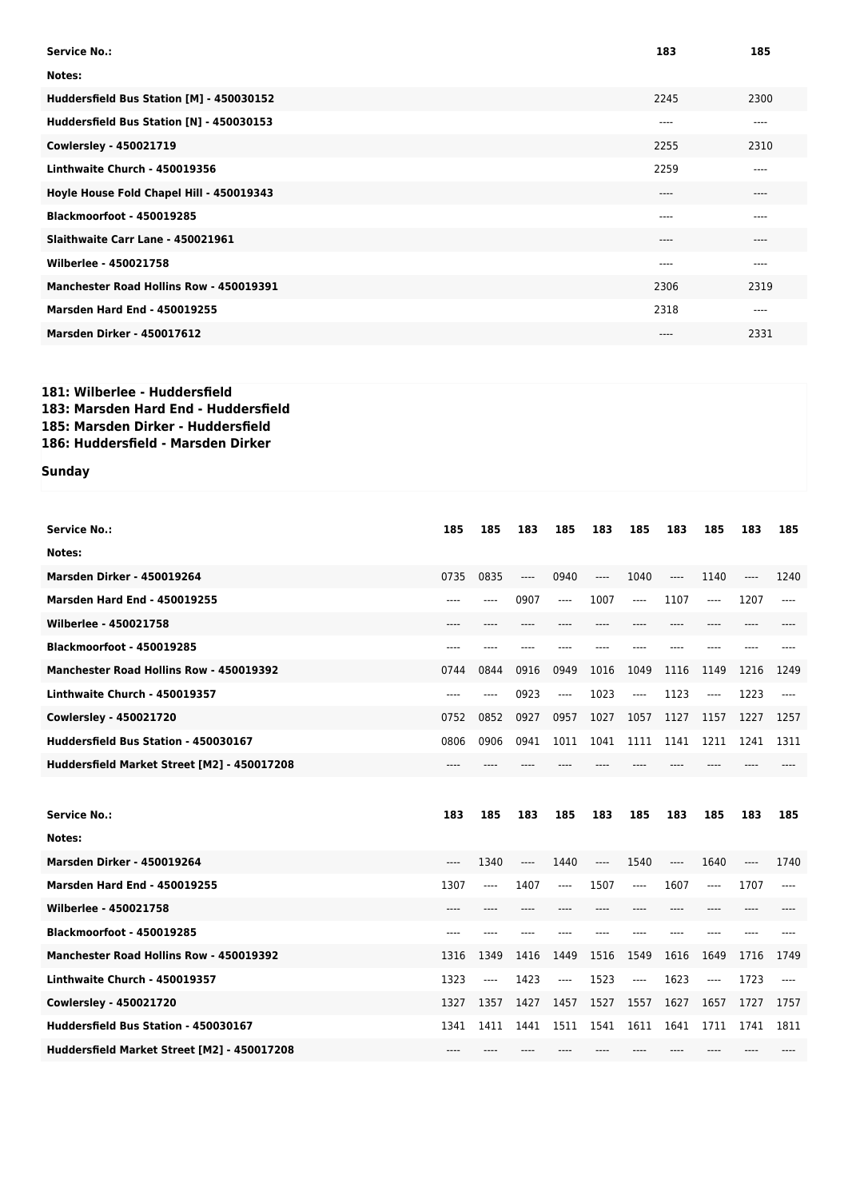| <b>Service No.:</b>                      | 183   | 185  |
|------------------------------------------|-------|------|
| Notes:                                   |       |      |
| Huddersfield Bus Station [M] - 450030152 | 2245  | 2300 |
| Huddersfield Bus Station [N] - 450030153 | $---$ | ---- |
| Cowlersley - 450021719                   | 2255  | 2310 |
| Linthwaite Church - 450019356            | 2259  | ---- |
| Hoyle House Fold Chapel Hill - 450019343 | $---$ | ---- |
| Blackmoorfoot - 450019285                | ----  | ---- |
| Slaithwaite Carr Lane - 450021961        | $---$ | ---- |
| Wilberlee - 450021758                    | $---$ | ---- |
| Manchester Road Hollins Row - 450019391  | 2306  | 2319 |
| <b>Marsden Hard End - 450019255</b>      | 2318  | ---- |
| <b>Marsden Dirker - 450017612</b>        | $---$ | 2331 |

## **181: Wilberlee - Huddersfield 183: Marsden Hard End - Huddersfield 185: Marsden Dirker - Huddersfield 186: Huddersfield - Marsden Dirker**

## **Sunday**

| <b>Service No.:</b>                            | 185   | 185  | 183   | 185  | 183  | 185      | 183   | 185  | 183   | 185   |
|------------------------------------------------|-------|------|-------|------|------|----------|-------|------|-------|-------|
| Notes:                                         |       |      |       |      |      |          |       |      |       |       |
| <b>Marsden Dirker - 450019264</b>              | 0735  | 0835 | $---$ | 0940 | ---- | 1040     | $---$ | 1140 | $---$ | 1240  |
| <b>Marsden Hard End - 450019255</b>            |       | ---- | 0907  | ---- | 1007 | $\cdots$ | 1107  | ---- | 1207  | ----  |
| Wilberlee - 450021758                          |       |      |       |      |      |          |       |      |       |       |
| Blackmoorfoot - 450019285                      | $---$ |      |       |      |      | ----     | $---$ | ---- | ----  |       |
| <b>Manchester Road Hollins Row - 450019392</b> | 0744  | 0844 | 0916  | 0949 | 1016 | 1049     | 1116  | 1149 | 1216  | 1249  |
| Linthwaite Church - 450019357                  | ----  | ---- | 0923  | ---- | 1023 | $\cdots$ | 1123  | ---- | 1223  | $---$ |
| <b>Cowlersley - 450021720</b>                  | 0752  | 0852 | 0927  | 0957 | 1027 | 1057     | 1127  | 1157 | 1227  | 1257  |
| Huddersfield Bus Station - 450030167           | 0806  | 0906 | 0941  | 1011 | 1041 | 1111     | 1141  | 1211 | 1241  | 1311  |
| Huddersfield Market Street [M2] - 450017208    |       |      |       |      |      |          |       |      |       |       |
|                                                |       |      |       |      |      |          |       |      |       |       |
| <b>Service No.:</b>                            | 183   | 185  | 183   | 185  | 183  | 185      | 183   | 185  | 183   | 185   |
| Notes:                                         |       |      |       |      |      |          |       |      |       |       |
| <b>Marsden Dirker - 450019264</b>              | $---$ | 1340 | $---$ | 1440 | ---- | 1540     | ----  | 1640 | ----  | 1740  |
| <b>Marsden Hard End - 450019255</b>            | 1307  | ---- | 1407  | ---- | 1507 | $---$    | 1607  | ---- | 1707  | ----  |
| Wilberlee - 450021758                          | ----  |      |       |      |      |          | ----  |      | ----  |       |
| Blackmoorfoot - 450019285                      |       |      |       |      |      |          |       |      |       |       |
|                                                | $---$ |      |       |      |      |          |       |      |       |       |
| <b>Manchester Road Hollins Row - 450019392</b> | 1316  | 1349 | 1416  | 1449 | 1516 | 1549     | 1616  | 1649 | 1716  | 1749  |
| Linthwaite Church - 450019357                  | 1323  | ---- | 1423  | ---- | 1523 | $---$    | 1623  | ---- | 1723  | ----  |
| <b>Cowlersley - 450021720</b>                  | 1327  | 1357 | 1427  | 1457 | 1527 | 1557     | 1627  | 1657 | 1727  | 1757  |
| Huddersfield Bus Station - 450030167           | 1341  | 1411 | 1441  | 1511 | 1541 | 1611     | 1641  | 1711 | 1741  | 1811  |